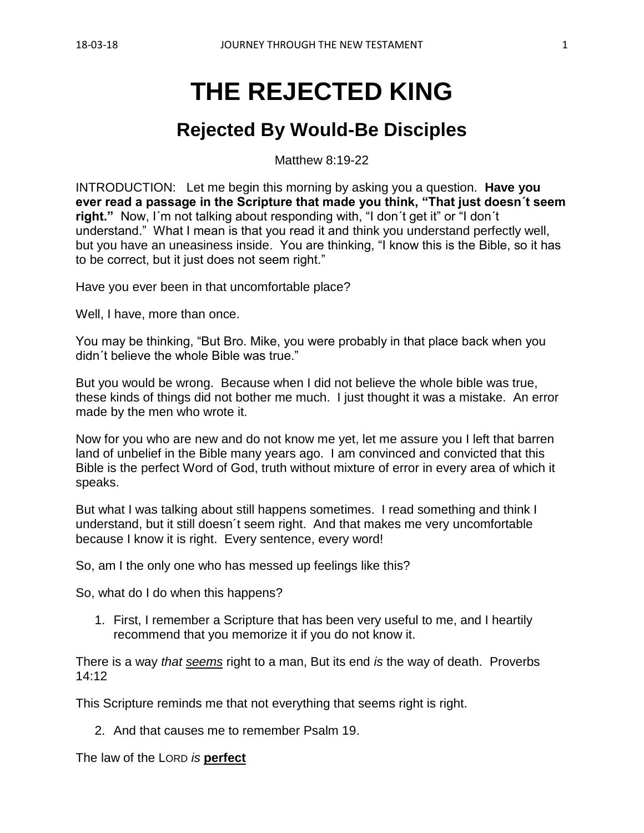# **THE REJECTED KING**

# **Rejected By Would-Be Disciples**

Matthew 8:19-22

INTRODUCTION: Let me begin this morning by asking you a question. **Have you ever read a passage in the Scripture that made you think, "That just doesn´t seem right."** Now, I´m not talking about responding with, "I don´t get it" or "I don´t understand." What I mean is that you read it and think you understand perfectly well, but you have an uneasiness inside. You are thinking, "I know this is the Bible, so it has to be correct, but it just does not seem right."

Have you ever been in that uncomfortable place?

Well, I have, more than once.

You may be thinking, "But Bro. Mike, you were probably in that place back when you didn´t believe the whole Bible was true."

But you would be wrong. Because when I did not believe the whole bible was true, these kinds of things did not bother me much. I just thought it was a mistake. An error made by the men who wrote it.

Now for you who are new and do not know me yet, let me assure you I left that barren land of unbelief in the Bible many years ago. I am convinced and convicted that this Bible is the perfect Word of God, truth without mixture of error in every area of which it speaks.

But what I was talking about still happens sometimes. I read something and think I understand, but it still doesn´t seem right. And that makes me very uncomfortable because I know it is right. Every sentence, every word!

So, am I the only one who has messed up feelings like this?

So, what do I do when this happens?

1. First, I remember a Scripture that has been very useful to me, and I heartily recommend that you memorize it if you do not know it.

There is a way *that seems* right to a man, But its end *is* the way of death. Proverbs 14:12

This Scripture reminds me that not everything that seems right is right.

2. And that causes me to remember Psalm 19.

The law of the LORD *is* **perfect**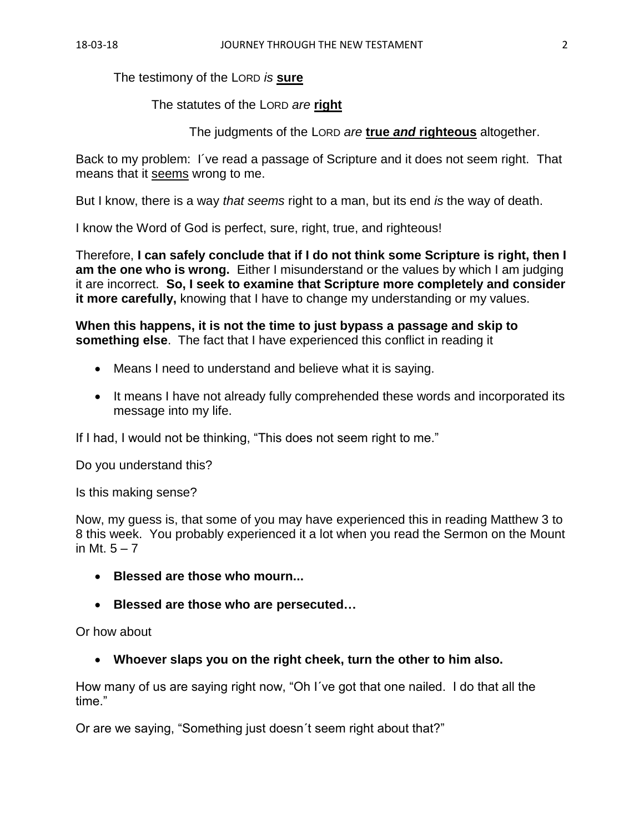The testimony of the LORD *is* **sure**

# The statutes of the LORD *are* **right**

The judgments of the LORD *are* **true** *and* **righteous** altogether.

Back to my problem: I´ve read a passage of Scripture and it does not seem right. That means that it seems wrong to me.

But I know, there is a way *that seems* right to a man, but its end *is* the way of death.

I know the Word of God is perfect, sure, right, true, and righteous!

Therefore, **I can safely conclude that if I do not think some Scripture is right, then I am the one who is wrong.** Either I misunderstand or the values by which I am judging it are incorrect. **So, I seek to examine that Scripture more completely and consider it more carefully,** knowing that I have to change my understanding or my values.

**When this happens, it is not the time to just bypass a passage and skip to something else**. The fact that I have experienced this conflict in reading it

- Means I need to understand and believe what it is saying.
- It means I have not already fully comprehended these words and incorporated its message into my life.

If I had, I would not be thinking, "This does not seem right to me."

Do you understand this?

Is this making sense?

Now, my guess is, that some of you may have experienced this in reading Matthew 3 to 8 this week. You probably experienced it a lot when you read the Sermon on the Mount in Mt.  $5 - 7$ 

- **Blessed are those who mourn...**
- **Blessed are those who are persecuted…**

Or how about

• **Whoever slaps you on the right cheek, turn the other to him also.**

How many of us are saying right now, "Oh I´ve got that one nailed. I do that all the time."

Or are we saying, "Something just doesn´t seem right about that?"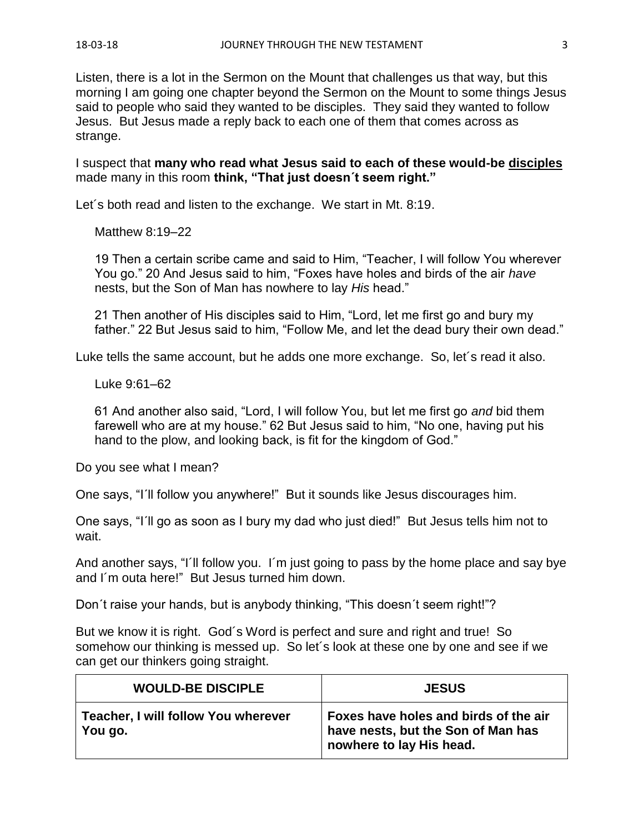Listen, there is a lot in the Sermon on the Mount that challenges us that way, but this morning I am going one chapter beyond the Sermon on the Mount to some things Jesus said to people who said they wanted to be disciples. They said they wanted to follow Jesus. But Jesus made a reply back to each one of them that comes across as strange.

I suspect that **many who read what Jesus said to each of these would-be disciples** made many in this room **think, "That just doesn´t seem right."**

Let's both read and listen to the exchange. We start in Mt. 8:19.

Matthew 8:19–22

19 Then a certain scribe came and said to Him, "Teacher, I will follow You wherever You go." 20 And Jesus said to him, "Foxes have holes and birds of the air *have* nests, but the Son of Man has nowhere to lay *His* head."

21 Then another of His disciples said to Him, "Lord, let me first go and bury my father." 22 But Jesus said to him, "Follow Me, and let the dead bury their own dead."

Luke tells the same account, but he adds one more exchange. So, let´s read it also.

Luke 9:61–62

61 And another also said, "Lord, I will follow You, but let me first go *and* bid them farewell who are at my house." 62 But Jesus said to him, "No one, having put his hand to the plow, and looking back, is fit for the kingdom of God."

Do you see what I mean?

One says, "I´ll follow you anywhere!" But it sounds like Jesus discourages him.

One says, "I´ll go as soon as I bury my dad who just died!" But Jesus tells him not to wait.

And another says, "I'll follow you. I'm just going to pass by the home place and say bye and I´m outa here!" But Jesus turned him down.

Don´t raise your hands, but is anybody thinking, "This doesn´t seem right!"?

But we know it is right. God´s Word is perfect and sure and right and true! So somehow our thinking is messed up. So let´s look at these one by one and see if we can get our thinkers going straight.

| <b>WOULD-BE DISCIPLE</b>                         | <b>JESUS</b>                                                                                            |
|--------------------------------------------------|---------------------------------------------------------------------------------------------------------|
| Teacher, I will follow You wherever<br>∣ You go. | Foxes have holes and birds of the air<br>have nests, but the Son of Man has<br>nowhere to lay His head. |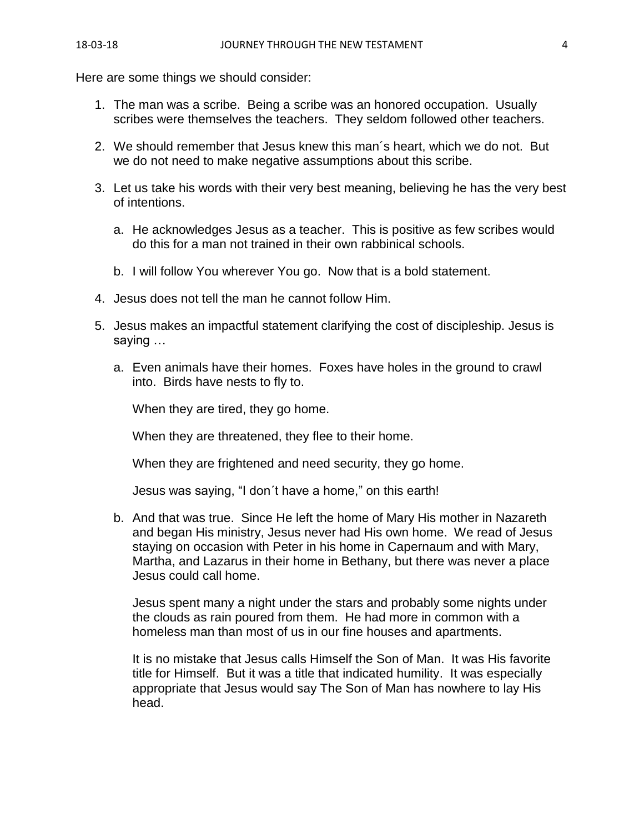Here are some things we should consider:

- 1. The man was a scribe. Being a scribe was an honored occupation. Usually scribes were themselves the teachers. They seldom followed other teachers.
- 2. We should remember that Jesus knew this man´s heart, which we do not. But we do not need to make negative assumptions about this scribe.
- 3. Let us take his words with their very best meaning, believing he has the very best of intentions.
	- a. He acknowledges Jesus as a teacher. This is positive as few scribes would do this for a man not trained in their own rabbinical schools.
	- b. I will follow You wherever You go. Now that is a bold statement.
- 4. Jesus does not tell the man he cannot follow Him.
- 5. Jesus makes an impactful statement clarifying the cost of discipleship. Jesus is saying …
	- a. Even animals have their homes. Foxes have holes in the ground to crawl into. Birds have nests to fly to.

When they are tired, they go home.

When they are threatened, they flee to their home.

When they are frightened and need security, they go home.

Jesus was saying, "I don´t have a home," on this earth!

b. And that was true. Since He left the home of Mary His mother in Nazareth and began His ministry, Jesus never had His own home. We read of Jesus staying on occasion with Peter in his home in Capernaum and with Mary, Martha, and Lazarus in their home in Bethany, but there was never a place Jesus could call home.

Jesus spent many a night under the stars and probably some nights under the clouds as rain poured from them. He had more in common with a homeless man than most of us in our fine houses and apartments.

It is no mistake that Jesus calls Himself the Son of Man. It was His favorite title for Himself. But it was a title that indicated humility. It was especially appropriate that Jesus would say The Son of Man has nowhere to lay His head.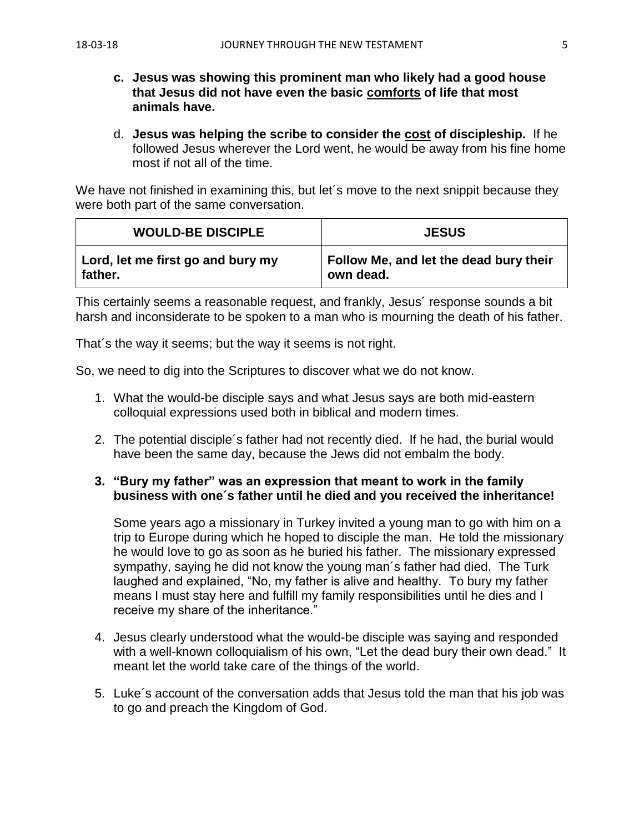- **c. Jesus was showing this prominent man who likely had a good house that Jesus did not have even the basic comforts of life that most animals have.**
- d. **Jesus was helping the scribe to consider the cost of discipleship.** If he followed Jesus wherever the Lord went, he would be away from his fine home most if not all of the time.

We have not finished in examining this, but let's move to the next snippit because they were both part of the same conversation.

| <b>WOULD-BE DISCIPLE</b>          | <b>JESUS</b>                           |
|-----------------------------------|----------------------------------------|
| Lord, let me first go and bury my | Follow Me, and let the dead bury their |
| father.                           | own dead.                              |

This certainly seems a reasonable request, and frankly, Jesus´ response sounds a bit harsh and inconsiderate to be spoken to a man who is mourning the death of his father.

That´s the way it seems; but the way it seems is not right.

So, we need to dig into the Scriptures to discover what we do not know.

- 1. What the would-be disciple says and what Jesus says are both mid-eastern colloquial expressions used both in biblical and modern times.
- 2. The potential disciple´s father had not recently died. If he had, the burial would have been the same day, because the Jews did not embalm the body.

#### **3. "Bury my father" was an expression that meant to work in the family business with one´s father until he died and you received the inheritance!**

Some years ago a missionary in Turkey invited a young man to go with him on a trip to Europe during which he hoped to disciple the man. He told the missionary he would love to go as soon as he buried his father. The missionary expressed sympathy, saying he did not know the young man´s father had died. The Turk laughed and explained, "No, my father is alive and healthy. To bury my father means I must stay here and fulfill my family responsibilities until he dies and I receive my share of the inheritance."

- 4. Jesus clearly understood what the would-be disciple was saying and responded with a well-known colloquialism of his own, "Let the dead bury their own dead." It meant let the world take care of the things of the world.
- 5. Luke´s account of the conversation adds that Jesus told the man that his job was to go and preach the Kingdom of God.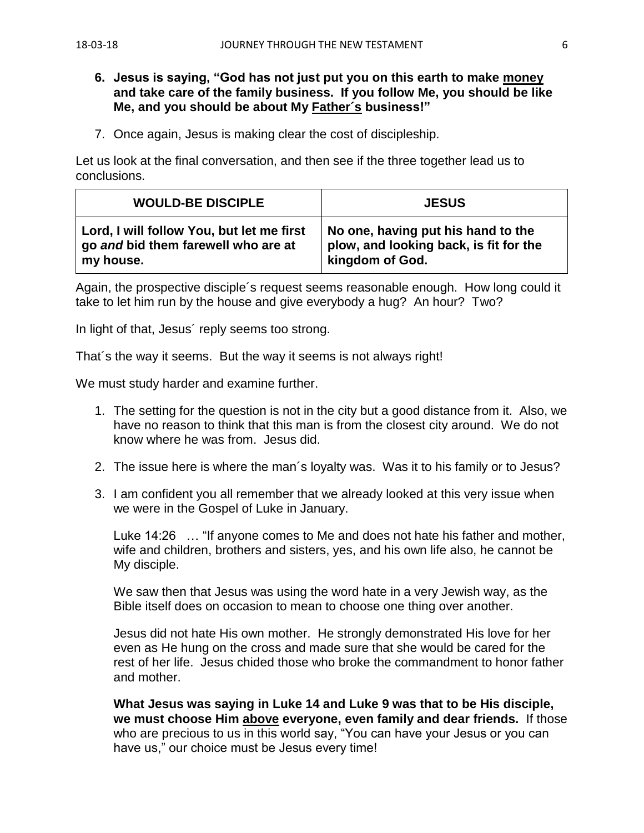#### **6. Jesus is saying, "God has not just put you on this earth to make money and take care of the family business. If you follow Me, you should be like Me, and you should be about My Father´s business!"**

7. Once again, Jesus is making clear the cost of discipleship.

Let us look at the final conversation, and then see if the three together lead us to conclusions.

| <b>WOULD-BE DISCIPLE</b>                  | <b>JESUS</b>                           |
|-------------------------------------------|----------------------------------------|
| Lord, I will follow You, but let me first | No one, having put his hand to the     |
| go and bid them farewell who are at       | plow, and looking back, is fit for the |
| my house.                                 | kingdom of God.                        |

Again, the prospective disciple´s request seems reasonable enough. How long could it take to let him run by the house and give everybody a hug? An hour? Two?

In light of that, Jesus´ reply seems too strong.

That´s the way it seems. But the way it seems is not always right!

We must study harder and examine further.

- 1. The setting for the question is not in the city but a good distance from it. Also, we have no reason to think that this man is from the closest city around. We do not know where he was from. Jesus did.
- 2. The issue here is where the man´s loyalty was. Was it to his family or to Jesus?
- 3. I am confident you all remember that we already looked at this very issue when we were in the Gospel of Luke in January.

Luke 14:26 … "If anyone comes to Me and does not hate his father and mother, wife and children, brothers and sisters, yes, and his own life also, he cannot be My disciple.

We saw then that Jesus was using the word hate in a very Jewish way, as the Bible itself does on occasion to mean to choose one thing over another.

Jesus did not hate His own mother. He strongly demonstrated His love for her even as He hung on the cross and made sure that she would be cared for the rest of her life. Jesus chided those who broke the commandment to honor father and mother.

**What Jesus was saying in Luke 14 and Luke 9 was that to be His disciple, we must choose Him above everyone, even family and dear friends.** If those who are precious to us in this world say, "You can have your Jesus or you can have us," our choice must be Jesus every time!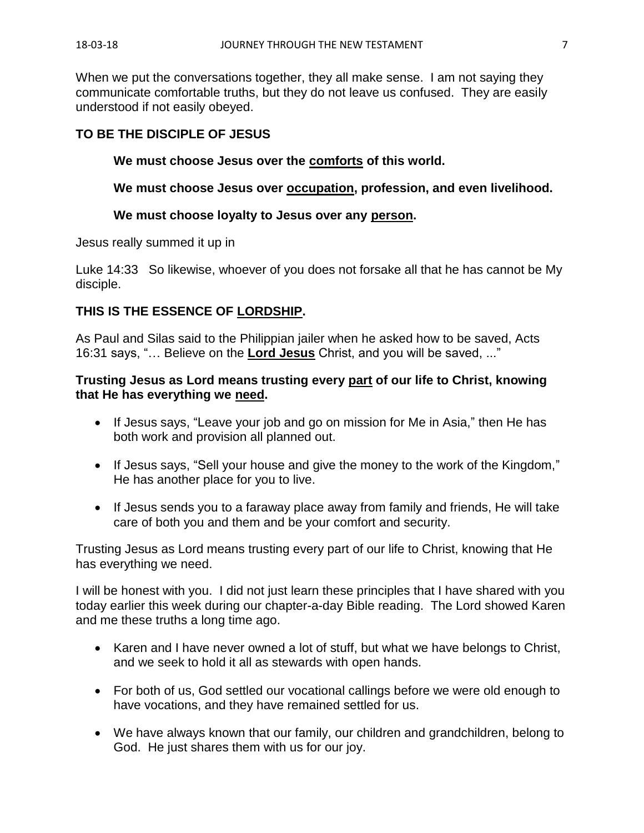When we put the conversations together, they all make sense. I am not saying they communicate comfortable truths, but they do not leave us confused. They are easily understood if not easily obeyed.

# **TO BE THE DISCIPLE OF JESUS**

### **We must choose Jesus over the comforts of this world.**

**We must choose Jesus over occupation, profession, and even livelihood.**

#### **We must choose loyalty to Jesus over any person.**

Jesus really summed it up in

Luke 14:33 So likewise, whoever of you does not forsake all that he has cannot be My disciple.

### **THIS IS THE ESSENCE OF LORDSHIP.**

As Paul and Silas said to the Philippian jailer when he asked how to be saved, Acts 16:31 says, "… Believe on the **Lord Jesus** Christ, and you will be saved, ..."

### **Trusting Jesus as Lord means trusting every part of our life to Christ, knowing that He has everything we need.**

- If Jesus says, "Leave your job and go on mission for Me in Asia," then He has both work and provision all planned out.
- If Jesus says, "Sell your house and give the money to the work of the Kingdom," He has another place for you to live.
- If Jesus sends you to a faraway place away from family and friends, He will take care of both you and them and be your comfort and security.

Trusting Jesus as Lord means trusting every part of our life to Christ, knowing that He has everything we need.

I will be honest with you. I did not just learn these principles that I have shared with you today earlier this week during our chapter-a-day Bible reading. The Lord showed Karen and me these truths a long time ago.

- Karen and I have never owned a lot of stuff, but what we have belongs to Christ, and we seek to hold it all as stewards with open hands.
- For both of us, God settled our vocational callings before we were old enough to have vocations, and they have remained settled for us.
- We have always known that our family, our children and grandchildren, belong to God. He just shares them with us for our joy.